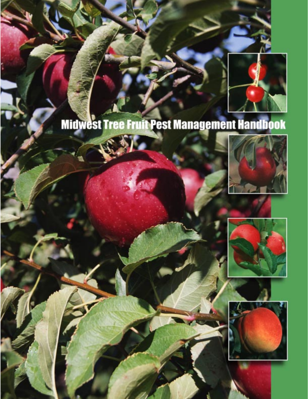

# **Midwest Tree Fruit Pest Management Handbook**





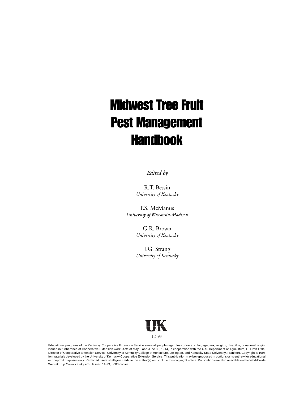# Midwest Tree Fruit Pest Management **Handbook**

*Edited by*

R.T. Bessin *University of Kentucky*

P.S. McManus *University of Wisconsin-Madison*

> G.R. Brown *University of Kentucky*

> J.G. Strang *University of Kentucky*



Educational programs of the Kentucky Cooperative Extension Service serve all people regardless of race, color, age, sex, religion, disability, or national origin. Issued in furtherance of Cooperative Extension work, Acts of May 8 and June 30, 1914, in cooperation with the U.S. Department of Agriculture, C. Oran Little,<br>Director of Cooperative Extension Service, University of Kentuc or nonprofit purposes only. Permitted users shall give credit to the author(s) and include this copyright notice. Publications are also available on the World Wide Web at: http://www.ca.uky.edu. Issued 11-93, 5000 copies.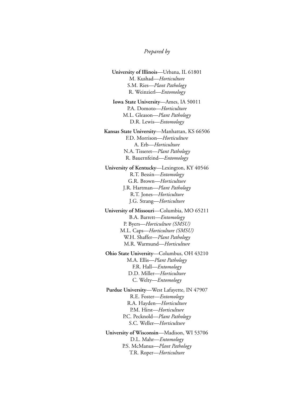#### *Prepared by*

**University of Illinois**—Urbana, IL 61801 M. Kushad—*Horticulture* S.M. Ries—*Plant Pathology* R. Weinzierl—*Entomology*

**Iowa State University**—Ames, IA 50011 P.A. Domoto—*Horticulture* M.L. Gleason—*Plant Pathology* D.R. Lewis—*Entomology*

**Kansas State University**—Manhattan, KS 66506 F.D. Morrison—*Horticulture* A. Erb—*Horticulture* N.A. Tisseret—*Plant Pathology* R. Bauernfeind—*Entomology*

**University of Kentucky**—Lexington, KY 40546 R.T. Bessin—*Entomology* G.R. Brown—*Horticulture* J.R. Hartman—*Plant Pathology* R.T. Jones—*Horticulture* J.G. Strang—*Horticulture*

**University of Missouri**—Columbia, MO 65211 B.A. Barrett—*Entomology* P. Byers—*Horticulture (SMSU)* M.L. Caps—*Horticulture (SMSU)* W.H. Shaffer—*Plant Pathology* M.R. Warmund—*Horticulture*

**Ohio State University**—Columbus, OH 43210 M.A. Ellis—*Plant Pathology* F.R. Hall—*Entomology* D.D. Miller—*Horticulture* C. Welty—*Entomology*

**Purdue University**—West Lafayette, IN 47907 R.E. Foster—*Entomology* R.A. Hayden—*Horticulture* P.M. Hirst—*Horticulture* P.C. Pecknold—*Plant Pathology* S.C. Weller—*Horticulture*

**University of Wisconsin**—Madison, WI 53706 D.L. Mahr—*Entomology* P.S. McManus—*Plant Pathology* T.R. Roper—*Horticulture*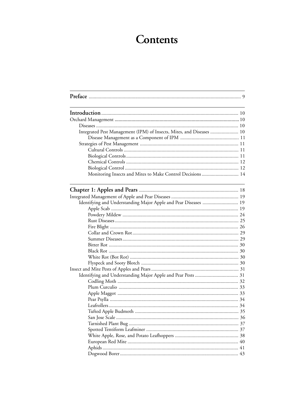# Contents

| Integrated Pest Management (IPM) of Insects, Mites, and Diseases  10 |  |
|----------------------------------------------------------------------|--|
|                                                                      |  |
|                                                                      |  |
|                                                                      |  |
|                                                                      |  |
|                                                                      |  |
|                                                                      |  |
| Monitoring Insects and Mites to Make Control Decisions  14           |  |
|                                                                      |  |
|                                                                      |  |
| Identifying and Understanding Major Apple and Pear Diseases  19      |  |
|                                                                      |  |
|                                                                      |  |
|                                                                      |  |
|                                                                      |  |
|                                                                      |  |
|                                                                      |  |
|                                                                      |  |
|                                                                      |  |
|                                                                      |  |
|                                                                      |  |
|                                                                      |  |
|                                                                      |  |
|                                                                      |  |
|                                                                      |  |
|                                                                      |  |
|                                                                      |  |
|                                                                      |  |
|                                                                      |  |
|                                                                      |  |
|                                                                      |  |
|                                                                      |  |
|                                                                      |  |
|                                                                      |  |
|                                                                      |  |
|                                                                      |  |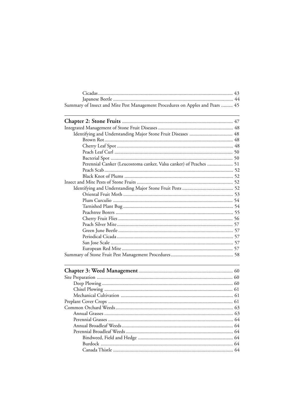| Summary of Insect and Mite Pest Management Procedures on Apples and Pears  45 |  |
|-------------------------------------------------------------------------------|--|

| Perennial Canker (Leucostoma canker, Valsa canker) of Peaches  51                                                                                                 |  |  |
|-------------------------------------------------------------------------------------------------------------------------------------------------------------------|--|--|
|                                                                                                                                                                   |  |  |
|                                                                                                                                                                   |  |  |
|                                                                                                                                                                   |  |  |
|                                                                                                                                                                   |  |  |
|                                                                                                                                                                   |  |  |
|                                                                                                                                                                   |  |  |
|                                                                                                                                                                   |  |  |
|                                                                                                                                                                   |  |  |
|                                                                                                                                                                   |  |  |
|                                                                                                                                                                   |  |  |
|                                                                                                                                                                   |  |  |
|                                                                                                                                                                   |  |  |
|                                                                                                                                                                   |  |  |
|                                                                                                                                                                   |  |  |
|                                                                                                                                                                   |  |  |
|                                                                                                                                                                   |  |  |
|                                                                                                                                                                   |  |  |
|                                                                                                                                                                   |  |  |
|                                                                                                                                                                   |  |  |
|                                                                                                                                                                   |  |  |
|                                                                                                                                                                   |  |  |
|                                                                                                                                                                   |  |  |
|                                                                                                                                                                   |  |  |
|                                                                                                                                                                   |  |  |
|                                                                                                                                                                   |  |  |
|                                                                                                                                                                   |  |  |
| $Dnormal$ $Dreal$ $Dreal$ $Dreal$ $Dreal$ $Dreal$ $Dreal$ $Dreal$ $Dreal$ $Dreal$ $Dreal$ $Dreal$ $Dreal$ $Dreal$ $Dreal$ $Dreal$ $Dreal$ $Dreal$ $Dreal$ $Dreal$ |  |  |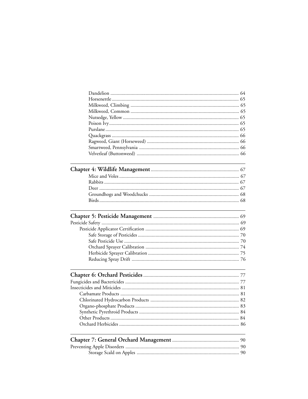|  | 84 |
|--|----|
|  |    |
|  |    |
|  |    |
|  |    |
|  |    |
|  |    |
|  |    |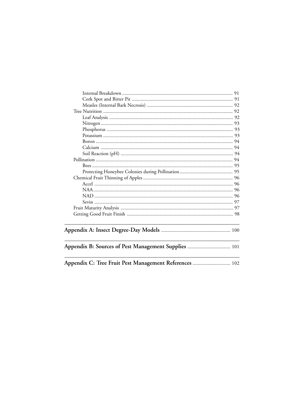| Appendix C: Tree Fruit Pest Management References  102 |  |
|--------------------------------------------------------|--|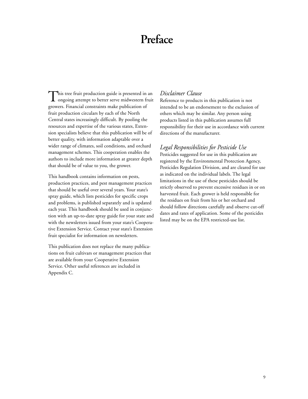# **Preface**

This tree fruit production guide is presented in an **L** ongoing attempt to better serve midwestern fruit growers. Financial constraints make publication of fruit production circulars by each of the North Central states increasingly difficult. By pooling the resources and expertise of the various states, Extension specialists believe that this publication will be of better quality, with information adaptable over a wider range of climates, soil conditions, and orchard management schemes. This cooperation enables the authors to include more information at greater depth that should be of value to you, the grower.

This handbook contains information on pests, production practices, and pest management practices that should be useful over several years. Your state's spray guide, which lists pesticides for specific crops and problems, is published separately and is updated each year. This handbook should be used in conjunction with an up-to-date spray guide for your state and with the newsletters issued from your state's Cooperative Extension Service. Contact your state's Extension fruit specialist for information on newsletters.

This publication does not replace the many publications on fruit cultivars or management practices that are available from your Cooperative Extension Service. Other useful references are included in Appendix C.

#### *Disclaimer Clause*

Reference to products in this publication is not intended to be an endorsement to the exclusion of others which may be similar. Any person using products listed in this publication assumes full responsibility for their use in accordance with current directions of the manufacturer.

#### *Legal Responsibilities for Pesticide Use*

Pesticides suggested for use in this publication are registered by the Environmental Protection Agency, Pesticides Regulation Division, and are cleared for use as indicated on the individual labels. The legal limitations in the use of these pesticides should be strictly observed to prevent excessive residues in or on harvested fruit. Each grower is held responsible for the residues on fruit from his or her orchard and should follow directions carefully and observe cut-off dates and rates of application. Some of the pesticides listed may be on the EPA restricted-use list.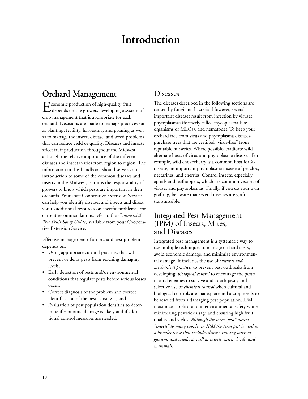# **Introduction**

# **Orchard Management**

Economic production of high-quality fruit depends on the growers developing a system of crop management that is appropriate for each orchard. Decisions are made to manage practices such as planting, fertility, harvesting, and pruning as well as to manage the insect, disease, and weed problems that can reduce yield or quality. Diseases and insects affect fruit production throughout the Midwest, although the relative importance of the different diseases and insects varies from region to region. The information in this handbook should serve as an introduction to some of the common diseases and insects in the Midwest, but it is the responsibility of growers to know which pests are important in their orchards. Your state Cooperative Extension Service can help you identify diseases and insects and direct you to additional resources on specific problems. For current recommendations, refer to the *Commercial Tree Fruit Spray Guide*, available from your Cooperative Extension Service.

Effective management of an orchard pest problem depends on:

- Using appropriate cultural practices that will prevent or delay pests from reaching damaging levels,
- Early detection of pests and/or environmental conditions that regulate pests before serious losses occur,
- Correct diagnosis of the problem and correct identification of the pest causing it, and
- Evaluation of pest population densities to determine if economic damage is likely and if additional control measures are needed.

#### **Diseases**

The diseases described in the following sections are caused by fungi and bacteria. However, several important diseases result from infection by viruses, phytoplasmas (formerly called mycoplasma-like organisms or MLOs), and nematodes. To keep your orchard free from virus and phytoplasma diseases, purchase trees that are certified "virus-free" from reputable nurseries. Where possible, eradicate wild alternate hosts of virus and phytoplasma diseases. For example, wild chokecherry is a common host for Xdisease, an important phytoplasma disease of peaches, nectarines, and cherries. Control insects, especially aphids and leafhoppers, which are common vectors of viruses and phytoplasmas. Finally, if you do your own grafting, be aware that several diseases are graft transmissible.

## Integrated Pest Management (IPM) of Insects, Mites, and Diseases

Integrated pest management is a systematic way to use multiple techniques to manage orchard costs, avoid economic damage, and minimize environmental damage. It includes the use of *cultural and mechanical practices* to prevent pest outbreaks from developing; *biological control* to encourage the pest's natural enemies to survive and attack pests; and selective use of *chemical control* when cultural and biological controls are inadequate and a crop needs to be rescued from a damaging pest population. IPM maximizes applicator and environmental safety while minimizing pesticide usage and ensuring high fruit quality and yields. *Although the term "pest" means "insects" to many people, in IPM the term pest is used in a broader sense that includes disease-causing microorganisms and weeds, as well as insects, mites, birds, and mammals.*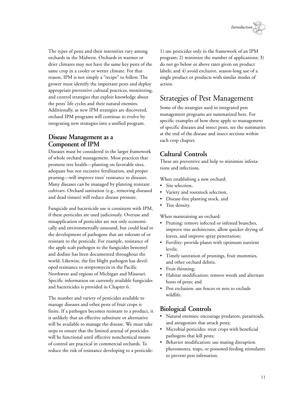

The types of pests and their intensities vary among orchards in the Midwest. Orchards in warmer or drier climates may not have the same key pests of the same crop in a cooler or wetter climate. For that reason, IPM is not simply a "recipe" to follow. The grower must identify the important pests and deploy appropriate preventive cultural practices, monitoring, and control strategies that exploit knowledge about the pests' life cycles and their natural enemies. Additionally, as new IPM strategies are discovered, orchard IPM programs will continue to evolve by integrating new strategies into a unified program.

#### **Disease Management as a Component of IPM**

Diseases must be considered in the larger framework of whole orchard management. Most practices that promote tree health—planting on favorable sites, adequate but not excessive fertilization, and proper pruning—will improve trees' resistance to diseases. Many diseases can be managed by planting resistant cultivars. Orchard sanitation (e.g., removing diseased and dead tissues) will reduce disease pressure.

Fungicide and bactericide use is consistent with IPM, if these pesticides are used judiciously. Overuse and misapplication of pesticides are not only economically and environmentally unsound, but could lead to the development of pathogens that are tolerant of or resistant to the pesticide. For example, resistance of the apple scab pathogen to the fungicides benomyl and dodine has been documented throughout the world. Likewise, the fire blight pathogen has developed resistance to streptomycin in the Pacific Northwest and regions of Michigan and Missouri. Specific information on currently available fungicides and bactericides is provided in Chapter 6.

The number and variety of pesticides available to manage diseases and other pests of fruit crops is finite. If a pathogen becomes resistant to a product, it is unlikely that an effective substitute or alternative will be available to manage the disease. We must take steps to ensure that the limited arsenal of pesticides will be functional until effective nonchemical means of control are practical in commercial orchards. To reduce the risk of resistance developing to a pesticide:

1) use pesticides only in the framework of an IPM program; 2) minimize the number of applications; 3) do not go below or above rates given on product labels; and 4) avoid exclusive, season-long use of a single product or products with similar modes of action.

# Strategies of Pest Management

Some of the strategies used in integrated pest management programs are summarized here. For specific examples of how these apply to management of specific diseases and insect pests, see the summaries at the end of the disease and insect sections within each crop chapter.

## **Cultural Controls**

These are preventive and help to minimize infestations and infections.

When establishing a new orchard:

- Site selection,
- Variety and rootstock selection,
- Disease-free planting stock, and
- Tree density.

When maintaining an orchard:

- Pruning: remove infected or infested branches, improve tree architecture, allow quicker drying of leaves, and improve spray penetration;
- Fertility: provide plants with optimum nutrient levels;
- Timely sanitation of prunings, fruit mummies, and other orchard debris;
- Fruit thinning;
- Habitat modification: remove weeds and alternate hosts of pests; and
- Pest exclusion: use fences or nets to exclude wildlife.

## **Biological Controls**

- Natural enemies: encourage predators, parasitoids, and antagonists that attack pests;
- Microbial pesticides: treat crops with beneficial pathogens that kill pests;
- Behavior modification: use mating disruption pheromones, traps, or poisoned feeding stimulants to prevent pest infestation.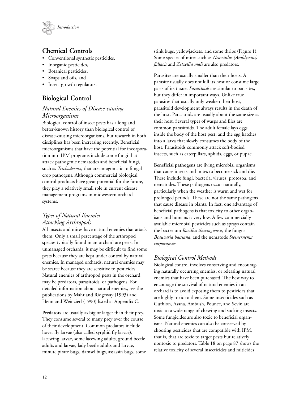

#### **Chemical Controls**

- Conventional synthetic pesticides,
- Inorganic pesticides,
- Botanical pesticides,
- Soaps and oils, and
- Insect growth regulators.

# **Biological Control**

#### *Natural Enemies of Disease-causing Microorganisms*

Biological control of insect pests has a long and better-known history than biological control of disease-causing microorganisms, but research in both disciplines has been increasing recently. Beneficial microorganisms that have the potential for incorporation into IPM programs include some fungi that attack pathogenic nematodes and beneficial fungi, such as *Trichoderma,* that are antagonistic to fungal crop pathogens. Although commercial biological control products have great potential for the future, they play a relatively small role in current disease management programs in midwestern orchard systems.

## *Types of Natural Enemies Attacking Arthropods*

All insects and mites have natural enemies that attack them. Only a small percentage of the arthropod species typically found in an orchard are pests. In unmanaged orchards, it may be difficult to find some pests because they are kept under control by natural enemies. In managed orchards, natural enemies may be scarce because they are sensitive to pesticides. Natural enemies of arthropod pests in the orchard may be predators, parasitoids, or pathogens. For detailed information about natural enemies, see the publications by Mahr and Ridgeway (1993) and Henn and Weinzierl (1990) listed at Appendix C.

**Predators** are usually as big or larger than their prey. They consume several to many prey over the course of their development. Common predators include hover fly larvae (also called syrphid fly larvae), lacewing larvae, some lacewing adults, ground beetle adults and larvae, lady beetle adults and larvae, minute pirate bugs, damsel bugs, assassin bugs, some

stink bugs, yellowjackets, and some thrips (Figure 1). Some species of mites such as *Neoseiulus (Amblyseius) fallacis* and *Zetzellia mali* are also predators.

**Parasites** are usually smaller than their hosts. A parasite usually does not kill its host or consume large parts of its tissue. *Parasitoids* are similar to parasites, but they differ in important ways. Unlike true parasites that usually only weaken their host, parasitoid development always results in the death of the host. Parasitoids are usually about the same size as their host. Several types of wasps and flies are common parasitoids. The adult female lays eggs inside the body of the host pest, and the egg hatches into a larva that slowly consumes the body of the host. Parasitoids commonly attack soft-bodied insects, such as caterpillars, aphids, eggs, or pupae.

**Beneficial pathogens** are living microbial organisms that cause insects and mites to become sick and die. These include fungi, bacteria, viruses, protozoa, and nematodes. These pathogens occur naturally, particularly when the weather is warm and wet for prolonged periods. These are not the same pathogens that cause disease in plants. In fact, one advantage of beneficial pathogens is that toxicity to other organisms and humans is very low. A few commercially available microbial pesticides such as sprays contain the bacterium *Bacillus thuringiensis,* the fungus *Beauvaria bassiana,* and the nematode *Steinernema carpocapsae*.

## *Biological Control Methods*

Biological control involves conserving and encouraging naturally occurring enemies, or releasing natural enemies that have been purchased. The best way to encourage the survival of natural enemies in an orchard is to avoid exposing them to pesticides that are highly toxic to them. Some insecticides such as Guthion, Asana, Ambush, Pounce, and Sevin are toxic to a wide range of chewing and sucking insects. Some fungicides are also toxic to beneficial organisms. Natural enemies can also be conserved by choosing pesticides that are compatible with IPM, that is, that are toxic to target pests but relatively nontoxic to predators. Table 18 on page 87 shows the relative toxicity of several insecticides and miticides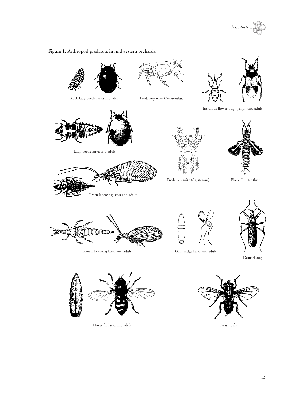



**Figure 1.** Arthropod predators in midwestern orchards.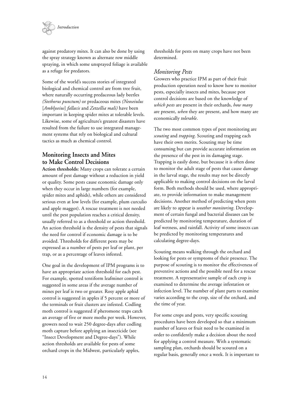

against predatory mites. It can also be done by using the spray strategy known as alternate row middle spraying, in which some unsprayed foliage is available as a refuge for predators.

Some of the world's success stories of integrated biological and chemical control are from tree fruit, where naturally occurring predaceous lady beetles *(Stethorus punctum)* or predaceous mites *(Neoseiulus* [*Amblyseius*] *fallacis* and *Zetzellia mali)* have been important in keeping spider mites at tolerable levels. Likewise, some of agriculture's greatest disasters have resulted from the failure to use integrated management systems that rely on biological and cultural tactics as much as chemical control.

#### **Monitoring Insects and Mites to Make Control Decisions**

**Action thresholds:** Many crops can tolerate a certain amount of pest damage without a reduction in yield or quality. Some pests cause economic damage only when they occur in large numbers (for example, spider mites and aphids), while others are considered serious even at low levels (for example, plum curculio and apple maggot). A rescue treatment is not needed until the pest population reaches a critical density, usually referred to as a threshold or action threshold. An action threshold is the density of pests that signals the need for control if economic damage is to be avoided. Thresholds for different pests may be expressed as a number of pests per leaf or plant, per trap, or as a percentage of leaves infested.

One goal in the development of IPM programs is to have an appropriate action threshold for each pest. For example, spotted tentiform leafminer control is suggested in some areas if the average number of mines per leaf is two or greater. Rosy apple aphid control is suggested in apples if 5 percent or more of the terminals or fruit clusters are infested. Codling moth control is suggested if pheromone traps catch an average of five or more moths per week. However, growers need to wait 250 degree-days after codling moth capture before applying an insecticide (see "Insect Development and Degree-days"). While action thresholds are available for pests of some orchard crops in the Midwest, particularly apples,

thresholds for pests on many crops have not been determined.

#### *Monitoring Pests*

Growers who practice IPM as part of their fruit production operation need to know how to monitor pests, especially insects and mites, because pest control decisions are based on the knowledge of *which pests* are present in their orchards, *how many* are present, *when* they are present, and how many are economically *tolerable*.

The two most common types of pest monitoring are *scouting* and *trapping*. Scouting and trapping each have their own merits. Scouting may be time consuming but can provide accurate information on the presence of the pest in its damaging stage. Trapping is easily done, but because it is often done to monitor the adult stage of pests that cause damage in the larval stage, the results may not be directly applicable to making control decisions on the larval form. Both methods should be used, where appropriate, to provide information to make management decisions. Another method of predicting when pests are likely to appear is *weather monitoring*. Development of certain fungal and bacterial diseases can be predicted by monitoring temperature, duration of leaf wetness, and rainfall. Activity of some insects can be predicted by monitoring temperatures and calculating degree-days.

Scouting means walking through the orchard and looking for pests or symptoms of their presence. The purpose of scouting is to monitor the effectiveness of preventive actions and the possible need for a rescue treatment. A representative sample of each crop is examined to determine the average infestation or infection level. The number of plant parts to examine varies according to the crop, size of the orchard, and the time of year.

For some crops and pests, very specific scouting procedures have been developed so that a minimum number of leaves or fruit need to be examined in order to confidently make a decision about the need for applying a control measure. With a systematic sampling plan, orchards should be scouted on a regular basis, generally once a week. It is important to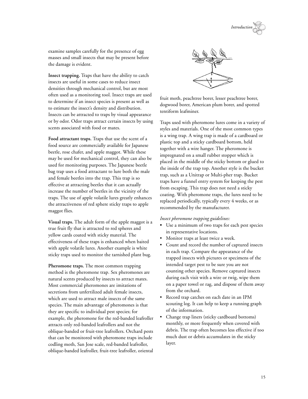

examine samples carefully for the presence of egg masses and small insects that may be present before the damage is evident.

**Insect trapping.** Traps that have the ability to catch insects are useful in some cases to reduce insect densities through mechanical control, but are most often used as a monitoring tool. Insect traps are used to determine if an insect species is present as well as to estimate the insect's density and distribution. Insects can be attracted to traps by visual appearance or by odor. Odor traps attract certain insects by using scents associated with food or mates.

**Food attractant traps.** Traps that use the scent of a food source are commercially available for Japanese beetle, rose chafer, and apple maggot. While these may be used for mechanical control, they can also be used for monitoring purposes. The Japanese beetle bag trap uses a food attractant to lure both the male and female beetles into the trap. This trap is so effective at attracting beetles that it can actually increase the number of beetles in the vicinity of the traps. The use of apple volatile lures greatly enhances the attractiveness of red sphere sticky traps to apple maggot flies.

**Visual traps.** The adult form of the apple maggot is a true fruit fly that is attracted to red spheres and yellow cards coated with sticky material. The effectiveness of these traps is enhanced when baited with apple volatile lures. Another example is white sticky traps used to monitor the tarnished plant bug.

**Pheromone traps.** The most common trapping method is the pheromone trap. Sex pheromones are natural scents produced by insects to attract mates. Most commercial pheromones are imitations of secretions from unfertilized adult female insects, which are used to attract male insects of the same species. The main advantage of pheromones is that they are specific to individual pest species; for example, the pheromone for the red-banded leafroller attracts only red-banded leafrollers and not the oblique-banded or fruit-tree leafrollers. Orchard pests that can be monitored with pheromone traps include codling moth, San Jose scale, red-banded leafroller, oblique-banded leafroller, fruit-tree leafroller, oriental



fruit moth, peachtree borer, lesser peachtree borer, dogwood borer, American plum borer, and spotted tentiform leafminer.

Traps used with pheromone lures come in a variety of styles and materials. One of the most common types is a wing trap. A wing trap is made of a cardboard or plastic top and a sticky cardboard bottom, held together with a wire hanger. The pheromone is impregnated on a small rubber stopper which is placed in the middle of the sticky bottom or glued to the inside of the trap top. Another style is the bucket trap, such as a Unitrap or Multi-pher trap. Bucket traps have a funnel entry system for keeping the pest from escaping. This trap does not need a sticky coating. With pheromone traps, the lures need to be replaced periodically, typically every 4 weeks, or as recommended by the manufacturer.

#### *Insect pheromone trapping guidelines:*

- **•** Use a minimum of two traps for each pest species in representative locations.
- Monitor traps at least twice a week.
- Count and record the number of captured insects in each trap. Compare the appearance of the trapped insects with pictures or specimens of the intended target pest to be sure you are not counting other species. Remove captured insects during each visit with a wire or twig, wipe them on a paper towel or rag, and dispose of them away from the orchard.
- Record trap catches on each date in an IPM scouting log. It can help to keep a running graph of the information.
- Change trap liners (sticky cardboard bottoms) monthly, or more frequently when covered with debris. The trap often becomes less effective if too much dust or debris accumulates in the sticky layer.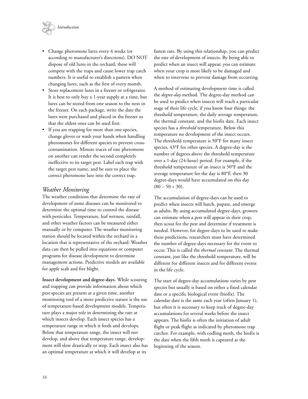

- Change pheromone lures every 4 weeks (or according to manufacturer's directions). DO NOT dispose of old lures in the orchard; these will compete with the traps and cause lower trap catch numbers. It is useful to establish a pattern when changing lures, such as the first of every month.
- Store replacement lures in a freezer or refrigerator. It is best to only buy a 1-year supply at a time, but lures can be stored from one season to the next in the freezer. On each package, write the date the lures were purchased and placed in the freezer so that the oldest ones can be used first.
- If you are trapping for more than one species, change gloves or wash your hands when handling pheromones for different species to prevent crosscontamination. Minute traces of one pheromone on another can render the second completely ineffective to its target pest. Label each trap with the target pest name, and be sure to place the correct pheromone lure into the correct trap.

#### *Weather Monitoring*

The weather conditions that determine the rate of development of some diseases can be monitored to determine the optimal time to control the disease with pesticides. Temperature, leaf wetness, rainfall, and other weather factors can be measured either manually or by computer. The weather monitoring station should be located within the orchard in a location that is representative of the orchard. Weather data can then be pulled into equations or computer programs for disease development to determine management actions. Predictive models are available for apple scab and fire blight.

**Insect development and degree-days.** While scouting and trapping can provide information about which pest species are present at a given time, another monitoring tool of a more predictive nature is the use of temperature-based development models. Temperature plays a major role in determining the rate at which insects develop. Each insect species has a temperature range in which it feeds and develops. Below that temperature range, the insect will not develop, and above that temperature range, development will slow drastically or stop. Each insect also has an optimal temperature at which it will develop at its

fastest rate. By using this relationship, you can predict the rate of development of insects. By being able to predict when an insect will appear, you can estimate when your crop is most likely to be damaged and when to intervene to prevent damage from occurring.

A method of estimating development time is called the *degree-day* method. The degree-day method can be used to predict when insects will reach a particular stage of their life cycle, if you know four things: the threshold temperature, the daily average temperature, the thermal constant, and the biofix date. Each insect species has a *threshold* temperature. Below this temperature no development of the insect occurs. The threshold temperature is 50°F for many insect species, 43°F for other species. A degree-day is the number of degrees above the threshold temperature over a 1-day (24-hour) period. For example, if the threshold temperature of an insect is 50°F and the average temperature for the day is 80°F, then 30 degree-days would have accumulated on this day  $(80 - 50 = 30).$ 

The accumulation of degree-days can be used to predict when insects will hatch, pupate, and emerge as adults. By using accumulated degree-days, growers can estimate when a pest will appear in their crop, then scout for the pest and determine if treatment is needed. However, for degree-days to be used to make these predictions, researchers must have determined the number of degree-days necessary for the event to occur. This is called the *thermal constant*. The thermal constant, just like the threshold temperature, will be different for different insects and for different events in the life cycle.

The start of degree-day accumulations varies by pest species but usually is based on either a fixed calendar date or a specific biological event (biofix). The calendar date is the same each year (often January 1), but often it is necessary to keep track of degree-day accumulations for several weeks before the insect appears. The biofix is often the initiation of adult flight or peak flight as indicated by pheromone trap catches. For example, with codling moth, the biofix is the date when the fifth moth is captured at the beginning of the season.